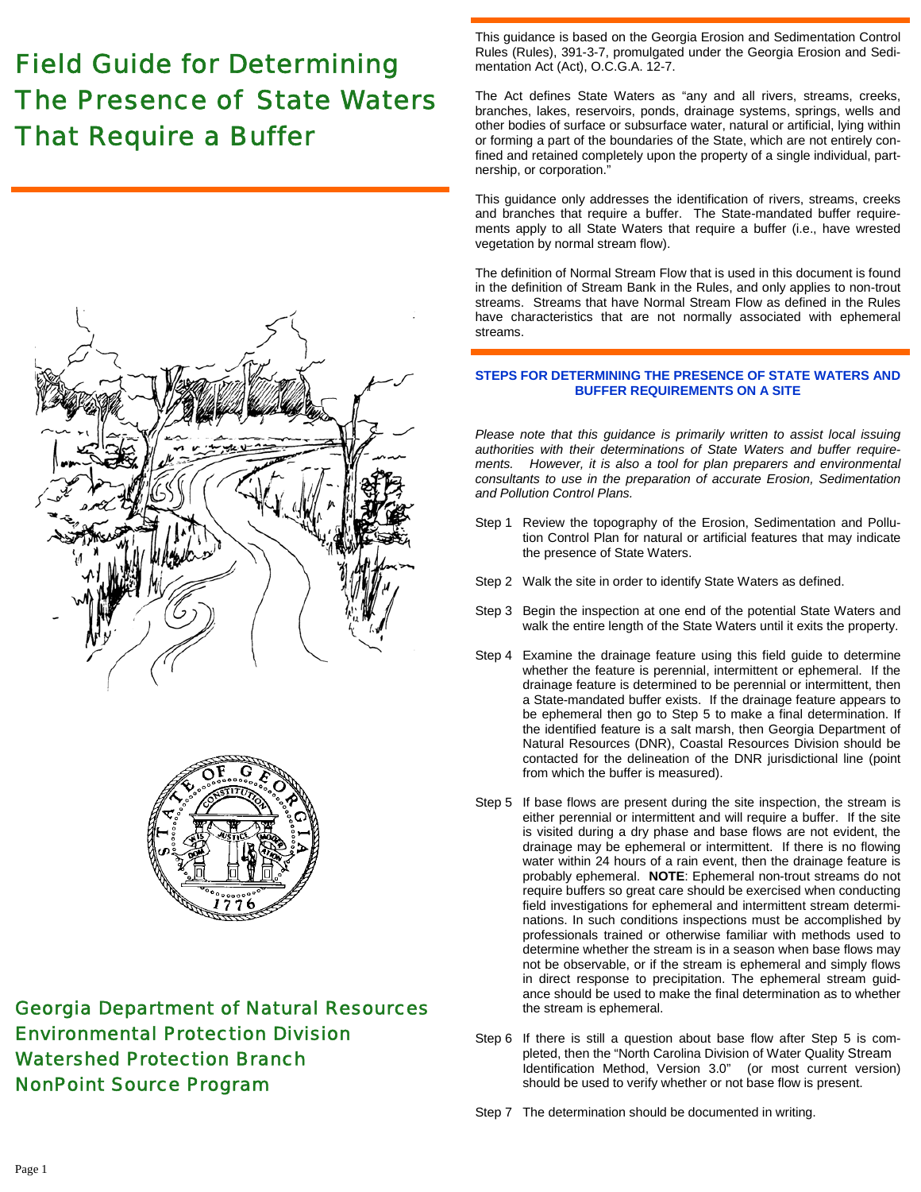# *Field Guide for Determining The Presence of State Waters That Require a Buffer*





# *Georgia Department of Natural Resources Environmental Protection Division Watershed Protection Branch NonPoint Source Program*

This guidance is based on the Georgia Erosion and Sedimentation Control Rules (Rules), 391-3-7, promulgated under the Georgia Erosion and Sedimentation Act (Act), O.C.G.A. 12-7.

The Act defines State Waters as "any and all rivers, streams, creeks, branches, lakes, reservoirs, ponds, drainage systems, springs, wells and other bodies of surface or subsurface water, natural or artificial, lying within or forming a part of the boundaries of the State, which are not entirely confined and retained completely upon the property of a single individual, partnership, or corporation."

This guidance only addresses the identification of rivers, streams, creeks and branches that require a buffer. The State-mandated buffer requirements apply to all State Waters that require a buffer (i.e., have wrested vegetation by normal stream flow).

The definition of Normal Stream Flow that is used in this document is found in the definition of Stream Bank in the Rules, and only applies to non-trout streams. Streams that have Normal Stream Flow as defined in the Rules have characteristics that are not normally associated with ephemeral streams.

# **STEPS FOR DETERMINING THE PRESENCE OF STATE WATERS AND BUFFER REQUIREMENTS ON A SITE**

*Please note that this guidance is primarily written to assist local issuing authorities with their determinations of State Waters and buffer requirements. However, it is also a tool for plan preparers and environmental consultants to use in the preparation of accurate Erosion, Sedimentation and Pollution Control Plans.* 

- Step 1 Review the topography of the Erosion, Sedimentation and Pollution Control Plan for natural or artificial features that may indicate the presence of State Waters.
- Step 2 Walk the site in order to identify State Waters as defined.
- Step 3 Begin the inspection at one end of the potential State Waters and walk the entire length of the State Waters until it exits the property.
- Step 4 Examine the drainage feature using this field guide to determine whether the feature is perennial, intermittent or ephemeral. If the drainage feature is determined to be perennial or intermittent, then a State-mandated buffer exists. If the drainage feature appears to be ephemeral then go to Step 5 to make a final determination. If the identified feature is a salt marsh, then Georgia Department of Natural Resources (DNR), Coastal Resources Division should be contacted for the delineation of the DNR jurisdictional line (point from which the buffer is measured).
- Step 5 If base flows are present during the site inspection, the stream is either perennial or intermittent and will require a buffer. If the site is visited during a dry phase and base flows are not evident, the drainage may be ephemeral or intermittent. If there is no flowing water within 24 hours of a rain event, then the drainage feature is probably ephemeral. **NOTE**: Ephemeral non-trout streams do not require buffers so great care should be exercised when conducting field investigations for ephemeral and intermittent stream determinations. In such conditions inspections must be accomplished by professionals trained or otherwise familiar with methods used to determine whether the stream is in a season when base flows may not be observable, or if the stream is ephemeral and simply flows in direct response to precipitation. The ephemeral stream guidance should be used to make the final determination as to whether the stream is ephemeral.
- Step 6 If there is still a question about base flow after Step 5 is completed, then the "North Carolina Division of Water Quality Stream Identification Method, Version 3.0" (or most current version) should be used to verify whether or not base flow is present.
- Step 7 The determination should be documented in writing.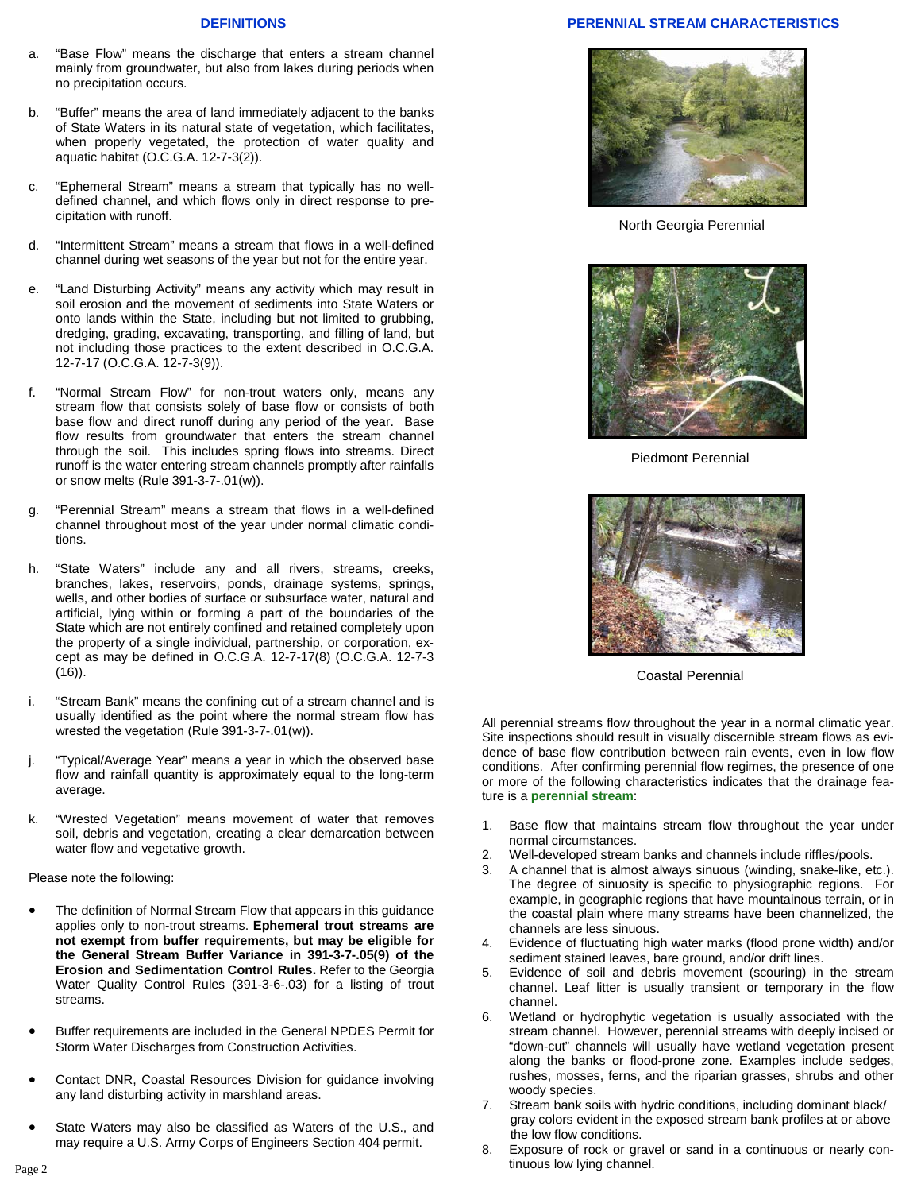### **DEFINITIONS**

- a. "Base Flow" means the discharge that enters a stream channel mainly from groundwater, but also from lakes during periods when no precipitation occurs.
- b. "Buffer" means the area of land immediately adjacent to the banks of State Waters in its natural state of vegetation, which facilitates, when properly vegetated, the protection of water quality and aquatic habitat (O.C.G.A. 12-7-3(2)).
- "Ephemeral Stream" means a stream that typically has no welldefined channel, and which flows only in direct response to precipitation with runoff.
- d. "Intermittent Stream" means a stream that flows in a well-defined channel during wet seasons of the year but not for the entire year.
- e. "Land Disturbing Activity" means any activity which may result in soil erosion and the movement of sediments into State Waters or onto lands within the State, including but not limited to grubbing, dredging, grading, excavating, transporting, and filling of land, but not including those practices to the extent described in O.C.G.A. 12-7-17 (O.C.G.A. 12-7-3(9)).
- f. "Normal Stream Flow" for non-trout waters only, means any stream flow that consists solely of base flow or consists of both base flow and direct runoff during any period of the year. Base flow results from groundwater that enters the stream channel through the soil. This includes spring flows into streams. Direct runoff is the water entering stream channels promptly after rainfalls or snow melts (Rule 391-3-7-.01(w)).
- g. "Perennial Stream" means a stream that flows in a well-defined channel throughout most of the year under normal climatic conditions.
- h. "State Waters" include any and all rivers, streams, creeks, branches, lakes, reservoirs, ponds, drainage systems, springs, wells, and other bodies of surface or subsurface water, natural and artificial, lying within or forming a part of the boundaries of the State which are not entirely confined and retained completely upon the property of a single individual, partnership, or corporation, except as may be defined in O.C.G.A. 12-7-17(8) (O.C.G.A. 12-7-3 (16)).
- i. "Stream Bank" means the confining cut of a stream channel and is usually identified as the point where the normal stream flow has wrested the vegetation (Rule 391-3-7-.01(w)).
- j. "Typical/Average Year" means a year in which the observed base flow and rainfall quantity is approximately equal to the long-term average.
- k. "Wrested Vegetation" means movement of water that removes soil, debris and vegetation, creating a clear demarcation between water flow and vegetative growth.

Please note the following:

- The definition of Normal Stream Flow that appears in this quidance applies only to non-trout streams. **Ephemeral trout streams are not exempt from buffer requirements, but may be eligible for the General Stream Buffer Variance in 391-3-7-.05(9) of the Erosion and Sedimentation Control Rules.** Refer to the Georgia Water Quality Control Rules (391-3-6-.03) for a listing of trout streams.
- Buffer requirements are included in the General NPDES Permit for Storm Water Discharges from Construction Activities.
- Contact DNR, Coastal Resources Division for guidance involving any land disturbing activity in marshland areas.
- State Waters may also be classified as Waters of the U.S., and may require a U.S. Army Corps of Engineers Section 404 permit.

## **PERENNIAL STREAM CHARACTERISTICS**



North Georgia Perennial



Piedmont Perennial



Coastal Perennial

All perennial streams flow throughout the year in a normal climatic year. Site inspections should result in visually discernible stream flows as evidence of base flow contribution between rain events, even in low flow conditions. After confirming perennial flow regimes, the presence of one or more of the following characteristics indicates that the drainage feature is a **perennial stream**:

- 1. Base flow that maintains stream flow throughout the year under normal circumstances.
- 2. Well-developed stream banks and channels include riffles/pools.
- 3. A channel that is almost always sinuous (winding, snake-like, etc.). The degree of sinuosity is specific to physiographic regions. For example, in geographic regions that have mountainous terrain, or in the coastal plain where many streams have been channelized, the channels are less sinuous.
- 4. Evidence of fluctuating high water marks (flood prone width) and/or sediment stained leaves, bare ground, and/or drift lines.
- 5. Evidence of soil and debris movement (scouring) in the stream channel. Leaf litter is usually transient or temporary in the flow channel.
- 6. Wetland or hydrophytic vegetation is usually associated with the stream channel. However, perennial streams with deeply incised or "down-cut" channels will usually have wetland vegetation present along the banks or flood-prone zone. Examples include sedges, rushes, mosses, ferns, and the riparian grasses, shrubs and other woody species.
- 7. Stream bank soils with hydric conditions, including dominant black/ gray colors evident in the exposed stream bank profiles at or above the low flow conditions.
- 8. Exposure of rock or gravel or sand in a continuous or nearly continuous low lying channel. Page 2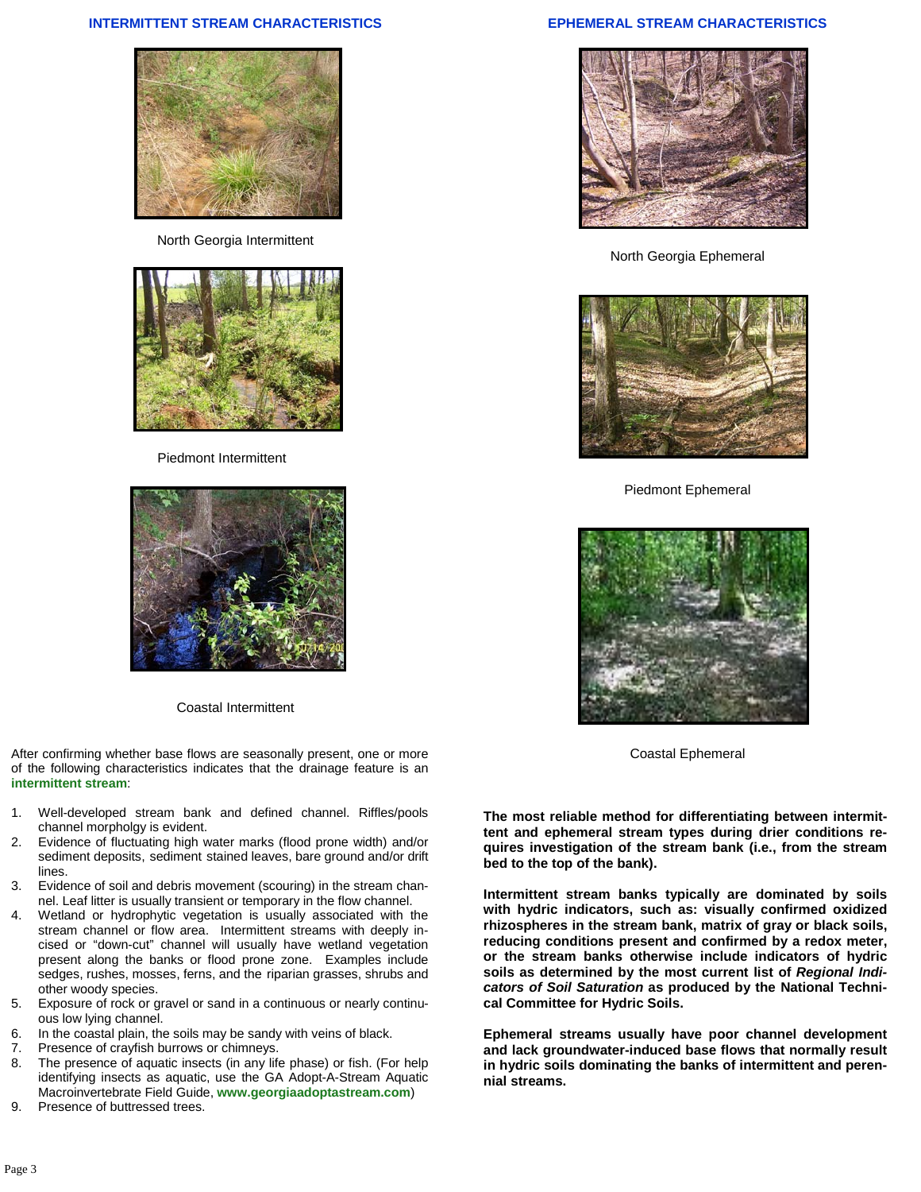### **INTERMITTENT STREAM CHARACTERISTICS**



North Georgia Intermittent



Piedmont Intermittent



Coastal Intermittent

After confirming whether base flows are seasonally present, one or more of the following characteristics indicates that the drainage feature is an **intermittent stream**:

- 1. Well-developed stream bank and defined channel. Riffles/pools channel morpholgy is evident.
- 2. Evidence of fluctuating high water marks (flood prone width) and/or sediment deposits, sediment stained leaves, bare ground and/or drift lines.
- 3. Evidence of soil and debris movement (scouring) in the stream channel. Leaf litter is usually transient or temporary in the flow channel.
- 4. Wetland or hydrophytic vegetation is usually associated with the stream channel or flow area. Intermittent streams with deeply incised or "down-cut" channel will usually have wetland vegetation present along the banks or flood prone zone. Examples include sedges, rushes, mosses, ferns, and the riparian grasses, shrubs and other woody species.
- 5. Exposure of rock or gravel or sand in a continuous or nearly continuous low lying channel.
- 6. In the coastal plain, the soils may be sandy with veins of black.
- 7. Presence of crayfish burrows or chimneys.
- 8. The presence of aquatic insects (in any life phase) or fish. (For help identifying insects as aquatic, use the GA Adopt-A-Stream Aquatic Macroinvertebrate Field Guide, **www.georgiaadoptastream.com**)
- 9. Presence of buttressed trees.

# **EPHEMERAL STREAM CHARACTERISTICS**



North Georgia Ephemeral



Piedmont Ephemeral



Coastal Ephemeral

**The most reliable method for differentiating between intermittent and ephemeral stream types during drier conditions requires investigation of the stream bank (i.e., from the stream bed to the top of the bank).** 

**Intermittent stream banks typically are dominated by soils with hydric indicators, such as: visually confirmed oxidized rhizospheres in the stream bank, matrix of gray or black soils, reducing conditions present and confirmed by a redox meter, or the stream banks otherwise include indicators of hydric soils as determined by the most current list of** *Regional Indicators of Soil Saturation* **as produced by the National Technical Committee for Hydric Soils.** 

**Ephemeral streams usually have poor channel development and lack groundwater-induced base flows that normally result in hydric soils dominating the banks of intermittent and perennial streams.**